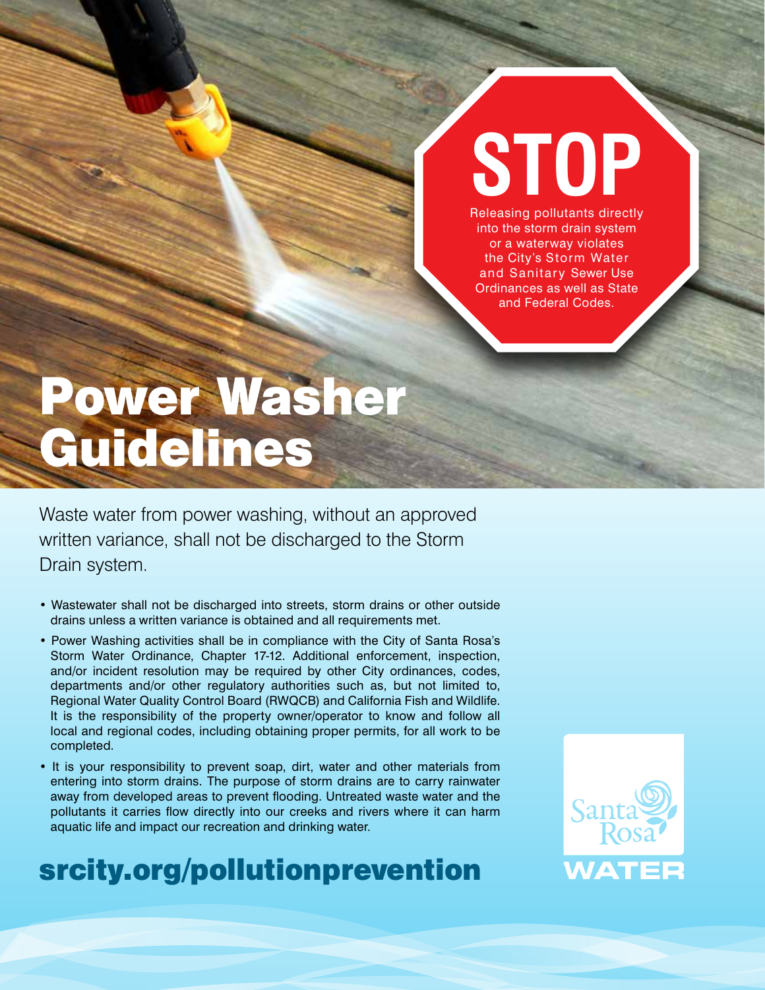## **STOP** Releasing pollutants directly

into the storm drain system or a waterway violates the City's Storm Water and Sanitary Sewer Use Ordinances as well as State and Federal Codes.

# Power Washer Guidelines

Waste water from power washing, without an approved written variance, shall not be discharged to the Storm Drain system.

- Wastewater shall not be discharged into streets, storm drains or other outside drains unless a written variance is obtained and all requirements met.
- Power Washing activities shall be in compliance with the City of Santa Rosa's Storm Water Ordinance, Chapter 17-12. Additional enforcement, inspection, and/or incident resolution may be required by other City ordinances, codes, departments and/or other regulatory authorities such as, but not limited to, Regional Water Quality Control Board (RWQCB) and California Fish and Wildlife. It is the responsibility of the property owner/operator to know and follow all local and regional codes, including obtaining proper permits, for all work to be completed.
- It is your responsibility to prevent soap, dirt, water and other materials from entering into storm drains. The purpose of storm drains are to carry rainwater away from developed areas to prevent flooding. Untreated waste water and the pollutants it carries flow directly into our creeks and rivers where it can harm aquatic life and impact our recreation and drinking water.

## srcity.org/pollutionprevention

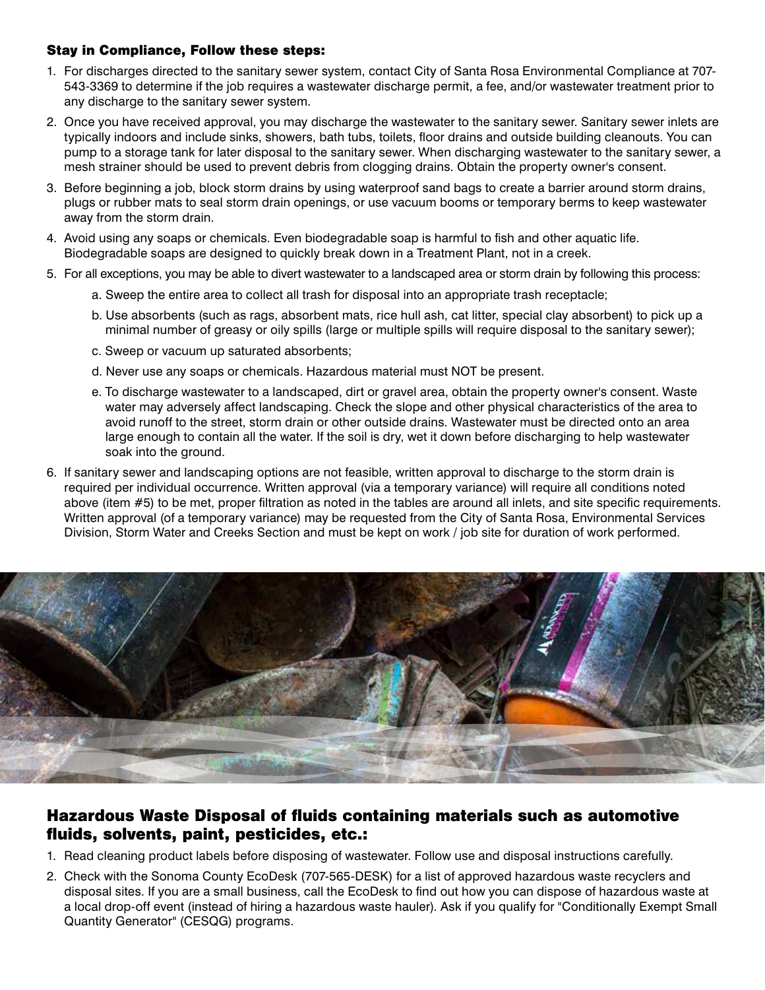#### Stay in Compliance, Follow these steps:

- 1. For discharges directed to the sanitary sewer system, contact City of Santa Rosa Environmental Compliance at 707- 543-3369 to determine if the job requires a wastewater discharge permit, a fee, and/or wastewater treatment prior to any discharge to the sanitary sewer system.
- 2. Once you have received approval, you may discharge the wastewater to the sanitary sewer. Sanitary sewer inlets are typically indoors and include sinks, showers, bath tubs, toilets, floor drains and outside building cleanouts. You can pump to a storage tank for later disposal to the sanitary sewer. When discharging wastewater to the sanitary sewer, a mesh strainer should be used to prevent debris from clogging drains. Obtain the property owner's consent.
- 3. Before beginning a job, block storm drains by using waterproof sand bags to create a barrier around storm drains, plugs or rubber mats to seal storm drain openings, or use vacuum booms or temporary berms to keep wastewater away from the storm drain.
- 4. Avoid using any soaps or chemicals. Even biodegradable soap is harmful to fish and other aquatic life. Biodegradable soaps are designed to quickly break down in a Treatment Plant, not in a creek.
- 5. For all exceptions, you may be able to divert wastewater to a landscaped area or storm drain by following this process:
	- a. Sweep the entire area to collect all trash for disposal into an appropriate trash receptacle;
	- b. Use absorbents (such as rags, absorbent mats, rice hull ash, cat litter, special clay absorbent) to pick up a minimal number of greasy or oily spills (large or multiple spills will require disposal to the sanitary sewer);
	- c. Sweep or vacuum up saturated absorbents;
	- d. Never use any soaps or chemicals. Hazardous material must NOT be present.
	- e. To discharge wastewater to a landscaped, dirt or gravel area, obtain the property owner's consent. Waste water may adversely affect landscaping. Check the slope and other physical characteristics of the area to avoid runoff to the street, storm drain or other outside drains. Wastewater must be directed onto an area large enough to contain all the water. If the soil is dry, wet it down before discharging to help wastewater soak into the ground.
- 6. If sanitary sewer and landscaping options are not feasible, written approval to discharge to the storm drain is required per individual occurrence. Written approval (via a temporary variance) will require all conditions noted above (item #5) to be met, proper filtration as noted in the tables are around all inlets, and site specific requirements. Written approval (of a temporary variance) may be requested from the City of Santa Rosa, Environmental Services Division, Storm Water and Creeks Section and must be kept on work / job site for duration of work performed.



### Hazardous Waste Disposal of fluids containing materials such as automotive fluids, solvents, paint, pesticides, etc.:

- 1. Read cleaning product labels before disposing of wastewater. Follow use and disposal instructions carefully.
- 2. Check with the Sonoma County EcoDesk (707-565-DESK) for a list of approved hazardous waste recyclers and disposal sites. If you are a small business, call the EcoDesk to find out how you can dispose of hazardous waste at a local drop-off event (instead of hiring a hazardous waste hauler). Ask if you qualify for "Conditionally Exempt Small Quantity Generator" (CESQG) programs.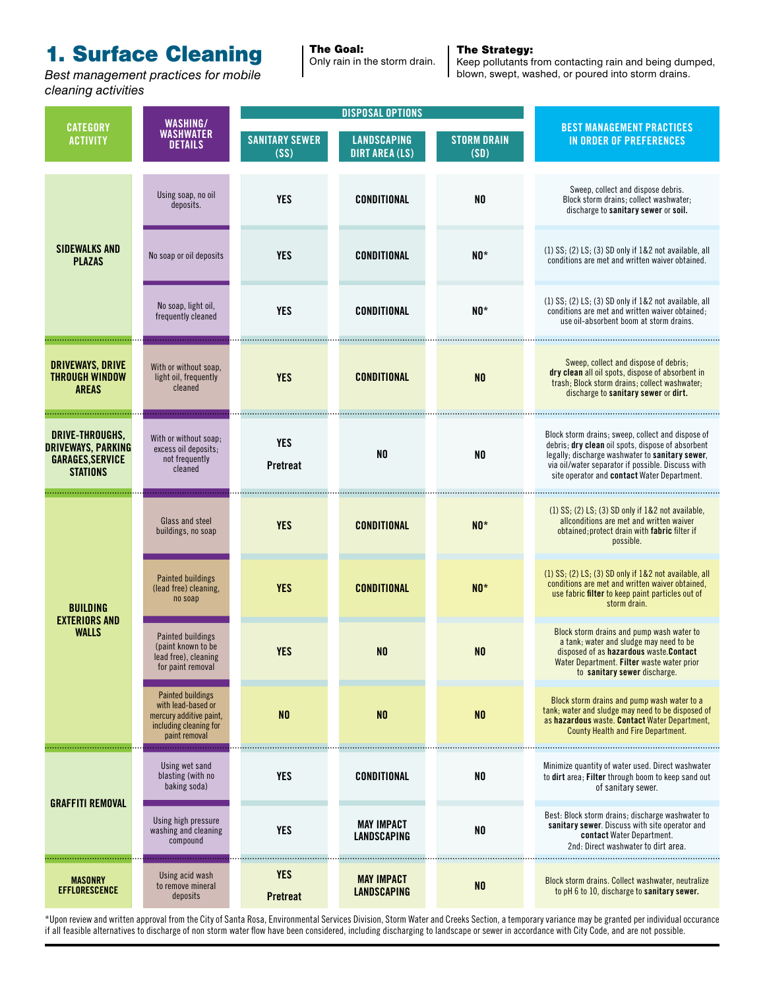### 1. Surface Cleaning

*Best management practices for mobile cleaning activities*

#### The Strategy: Only rain in the storm drain.

The Goal:

Keep pollutants from contacting rain and being dumped, blown, swept, washed, or poured into storm drains.

|                                                                                            | WASHING/<br><b>WASHWATER</b><br><b>DETAILS</b>                                                                       | <b>DISPOSAL OPTIONS</b>       |                                             |                            |                                                                                                                                                                                                                                                               |
|--------------------------------------------------------------------------------------------|----------------------------------------------------------------------------------------------------------------------|-------------------------------|---------------------------------------------|----------------------------|---------------------------------------------------------------------------------------------------------------------------------------------------------------------------------------------------------------------------------------------------------------|
| <b>CATEGORY</b><br><b>ACTIVITY</b>                                                         |                                                                                                                      | <b>SANITARY SEWER</b><br>(SS) | <b>LANDSCAPING</b><br><b>DIRT AREA (LS)</b> | <b>STORM DRAIN</b><br>(SD) | <b>BEST MANAGEMENT PRACTICES</b><br><b>IN ORDER OF PREFERENCES</b>                                                                                                                                                                                            |
| <b>SIDEWALKS AND</b><br><b>PLAZAS</b>                                                      | Using soap, no oil<br>deposits.                                                                                      | <b>YES</b>                    | <b>CONDITIONAL</b>                          | N <sub>0</sub>             | Sweep, collect and dispose debris.<br>Block storm drains; collect washwater;<br>discharge to sanitary sewer or soil.                                                                                                                                          |
|                                                                                            | No soap or oil deposits                                                                                              | <b>YES</b>                    | <b>CONDITIONAL</b>                          | $N0*$                      | $(1)$ SS; $(2)$ LS; $(3)$ SD only if $1&8$ 2 not available, all<br>conditions are met and written waiver obtained.                                                                                                                                            |
|                                                                                            | No soap, light oil,<br>frequently cleaned                                                                            | <b>YES</b>                    | <b>CONDITIONAL</b>                          | $N0*$                      | $(1)$ SS; $(2)$ LS; $(3)$ SD only if $1&8$ 2 not available, all<br>conditions are met and written waiver obtained;<br>use oil-absorbent boom at storm drains.                                                                                                 |
| <b>DRIVEWAYS, DRIVE</b><br><b>THROUGH WINDOW</b><br><b>AREAS</b>                           | With or without soap,<br>light oil, frequently<br>cleaned                                                            | <b>YES</b>                    | <b>CONDITIONAL</b>                          | N <sub>0</sub>             | Sweep, collect and dispose of debris;<br>dry clean all oil spots, dispose of absorbent in<br>trash; Block storm drains; collect washwater;<br>discharge to sanitary sewer or dirt.                                                                            |
| DRIVE-THROUGHS,<br><b>DRIVEWAYS, PARKING</b><br><b>GARAGES, SERVICE</b><br><b>STATIONS</b> | With or without soap;<br>excess oil deposits;<br>not frequently<br>cleaned                                           | <b>YES</b><br><b>Pretreat</b> | N <sub>0</sub>                              | N <sub>0</sub>             | Block storm drains; sweep, collect and dispose of<br>debris; dry clean oil spots, dispose of absorbent<br>legally; discharge washwater to sanitary sewer.<br>via oil/water separator if possible. Discuss with<br>site operator and contact Water Department. |
| <b>BUILDING</b><br><b>EXTERIORS AND</b><br><b>WALLS</b>                                    | Glass and steel<br>buildings, no soap                                                                                | <b>YES</b>                    | <b>CONDITIONAL</b>                          | $N0*$                      | $(1)$ SS; $(2)$ LS; $(3)$ SD only if 1&2 not available,<br>allconditions are met and written waiver<br>obtained; protect drain with fabric filter if<br>possible.                                                                                             |
|                                                                                            | <b>Painted buildings</b><br>(lead free) cleaning,<br>no soap                                                         | <b>YES</b>                    | <b>CONDITIONAL</b>                          | $N0*$                      | $(1)$ SS; $(2)$ LS; $(3)$ SD only if $1&8$ 2 not available, all<br>conditions are met and written waiver obtained,<br>use fabric filter to keep paint particles out of<br>storm drain.                                                                        |
|                                                                                            | Painted buildings<br>(paint known to be<br>lead free), cleaning<br>for paint removal                                 | <b>YES</b>                    | N <sub>0</sub>                              | N <sub>0</sub>             | Block storm drains and pump wash water to<br>a tank; water and sludge may need to be<br>disposed of as hazardous waste. Contact<br>Water Department. Filter waste water prior<br>to sanitary sewer discharge.                                                 |
|                                                                                            | <b>Painted buildings</b><br>with lead-based or<br>mercury additive paint,<br>including cleaning for<br>paint removal | N <sub>0</sub>                | N <sub>0</sub>                              | N <sub>0</sub>             | Block storm drains and pump wash water to a<br>tank; water and sludge may need to be disposed of<br>as hazardous waste. Contact Water Department,<br><b>County Health and Fire Department.</b>                                                                |
| <b>GRAFFITI REMOVAL</b>                                                                    | Using wet sand<br>blasting (with no<br>baking soda)                                                                  | <b>YES</b>                    | <b>CONDITIONAL</b>                          | NO                         | Minimize quantity of water used. Direct washwater<br>to dirt area; Filter through boom to keep sand out<br>of sanitary sewer.                                                                                                                                 |
|                                                                                            | Using high pressure<br>washing and cleaning<br>compound                                                              | <b>YES</b>                    | <b>MAY IMPACT</b><br><b>LANDSCAPING</b>     | N <sub>0</sub>             | Best: Block storm drains; discharge washwater to<br>sanitary sewer. Discuss with site operator and<br>contact Water Department.<br>2nd: Direct washwater to dirt area.                                                                                        |
| <b>MASONRY</b><br>EFFLORESCENCE                                                            | Using acid wash<br>to remove mineral<br>deposits                                                                     | <b>YES</b><br><b>Pretreat</b> | <b>MAY IMPACT</b><br><b>LANDSCAPING</b>     | N <sub>0</sub>             | Block storm drains. Collect washwater, neutralize<br>to pH 6 to 10, discharge to sanitary sewer.                                                                                                                                                              |

\*Upon review and written approval from the City of Santa Rosa, Environmental Services Division, Storm Water and Creeks Section, a temporary variance may be granted per individual occurance if all feasible alternatives to discharge of non storm water flow have been considered, including discharging to landscape or sewer in accordance with City Code, and are not possible.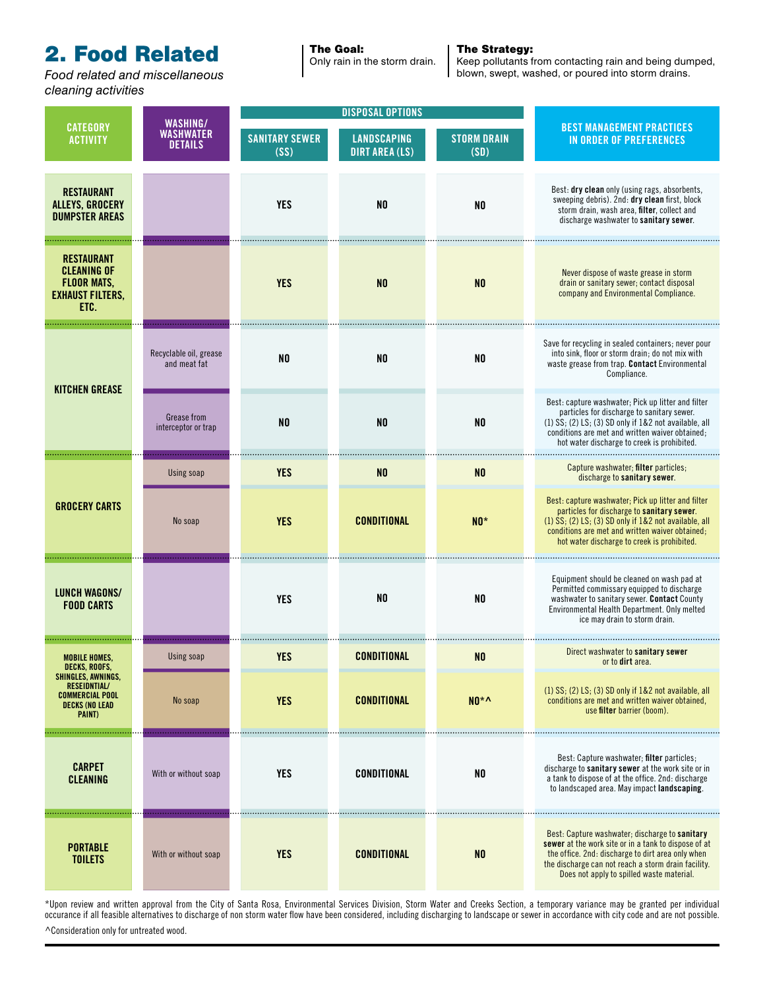### **2. Food Related The Goal:**

*cleaning activities*

Only rain in the storm drain.

#### The Strategy:

Keep pollutants from contacting rain and being dumped, **Food related and miscellaneous blown computer blown**, swept, washed, or poured into storm drains.

| <b>CATEGORY</b><br><b>ACTIVITY</b>                                                                     | WASHING/<br><b>WASHWATER</b><br><b>DETAILS</b> | <b>DISPOSAL OPTIONS</b>       |                                             |                            |                                                                                                                                                                                                                                                                       |
|--------------------------------------------------------------------------------------------------------|------------------------------------------------|-------------------------------|---------------------------------------------|----------------------------|-----------------------------------------------------------------------------------------------------------------------------------------------------------------------------------------------------------------------------------------------------------------------|
|                                                                                                        |                                                | <b>SANITARY SEWER</b><br>(SS) | <b>LANDSCAPING</b><br><b>DIRT AREA (LS)</b> | <b>STORM DRAIN</b><br>(SD) | <b>BEST MANAGEMENT PRACTICES</b><br><b>IN ORDER OF PREFERENCES</b>                                                                                                                                                                                                    |
| <b>RESTAURANT</b><br><b>ALLEYS, GROCERY</b><br><b>DUMPSTER AREAS</b>                                   |                                                | <b>YES</b>                    | N <sub>0</sub>                              | N <sub>0</sub>             | Best: dry clean only (using rags, absorbents,<br>sweeping debris). 2nd: dry clean first, block<br>storm drain, wash area, filter, collect and<br>discharge washwater to sanitary sewer.                                                                               |
| <b>RESTAURANT</b><br><b>CLEANING OF</b><br><b>FLOOR MATS,</b><br><b>EXHAUST FILTERS,</b><br>ETC.       |                                                | <b>YES</b>                    | N <sub>0</sub>                              | N <sub>0</sub>             | Never dispose of waste grease in storm<br>drain or sanitary sewer; contact disposal<br>company and Environmental Compliance.                                                                                                                                          |
| <b>KITCHEN GREASE</b>                                                                                  | Recyclable oil, grease<br>and meat fat         | N <sub>0</sub>                | N <sub>0</sub>                              | N <sub>0</sub>             | Save for recycling in sealed containers; never pour<br>into sink, floor or storm drain; do not mix with<br>waste grease from trap. Contact Environmental<br>Compliance.                                                                                               |
|                                                                                                        | Grease from<br>interceptor or trap             | N <sub>0</sub>                | N <sub>0</sub>                              | N <sub>0</sub>             | Best: capture washwater; Pick up litter and filter<br>particles for discharge to sanitary sewer.<br>$(1)$ SS; $(2)$ LS; $(3)$ SD only if $1&8.2$ not available, all<br>conditions are met and written waiver obtained;<br>hot water discharge to creek is prohibited. |
|                                                                                                        | Using soap                                     | <b>YES</b>                    | N <sub>0</sub>                              | N <sub>0</sub>             | Capture washwater; filter particles;<br>discharge to sanitary sewer.                                                                                                                                                                                                  |
| <b>GROCERY CARTS</b>                                                                                   | No soap                                        | <b>YES</b>                    | <b>CONDITIONAL</b>                          | $N0*$                      | Best: capture washwater; Pick up litter and filter<br>particles for discharge to sanitary sewer.<br>$(1)$ SS; $(2)$ LS; $(3)$ SD only if $1&82$ not available, all<br>conditions are met and written waiver obtained;<br>hot water discharge to creek is prohibited.  |
| <b>LUNCH WAGONS/</b><br><b>FOOD CARTS</b>                                                              |                                                | <b>YES</b>                    | N <sub>0</sub>                              | N <sub>0</sub>             | Equipment should be cleaned on wash pad at<br>Permitted commissary equipped to discharge<br>washwater to sanitary sewer. Contact County<br>Environmental Health Department. Only melted<br>ice may drain to storm drain.                                              |
| <b>MOBILE HOMES,</b><br>DECKS, ROOFS,                                                                  | Using soap                                     | <b>YES</b>                    | CONDITIONAL                                 | N <sub>0</sub>             | Direct washwater to sanitary sewer<br>or to <b>dirt</b> area.                                                                                                                                                                                                         |
| SHINGLES, AWNINGS,<br><b>RESEIDNTIAL/</b><br><b>COMMERCIAL POOL</b><br><b>DECKS (NO LEAD</b><br>PAINT) | No soap                                        | <b>YES</b>                    | <b>CONDITIONAL</b>                          | $NO*$                      | $(1)$ SS; $(2)$ LS; $(3)$ SD only if $1&2$ not available, all<br>conditions are met and written waiver obtained.<br>use filter barrier (boom).                                                                                                                        |
| <b>CARPET</b><br><b>CLEANING</b>                                                                       | With or without soap                           | <b>YES</b>                    | <b>CONDITIONAL</b>                          | N <sub>0</sub>             | Best: Capture washwater; filter particles;<br>discharge to sanitary sewer at the work site or in<br>a tank to dispose of at the office. 2nd: discharge<br>to landscaped area. May impact landscaping.                                                                 |
| <b>PORTABLE</b><br><b>TOILETS</b>                                                                      | With or without soap                           | <b>YES</b>                    | <b>CONDITIONAL</b>                          | N <sub>0</sub>             | Best: Capture washwater; discharge to sanitary<br>sewer at the work site or in a tank to dispose of at<br>the office. 2nd: discharge to dirt area only when<br>the discharge can not reach a storm drain facility.<br>Does not apply to spilled waste material.       |

\*Upon review and written approval from the City of Santa Rosa, Environmental Services Division, Storm Water and Creeks Section, a temporary variance may be granted per individual occurance if all feasible alternatives to discharge of non storm water flow have been considered, including discharging to landscape or sewer in accordance with city code and are not possible. ^Consideration only for untreated wood.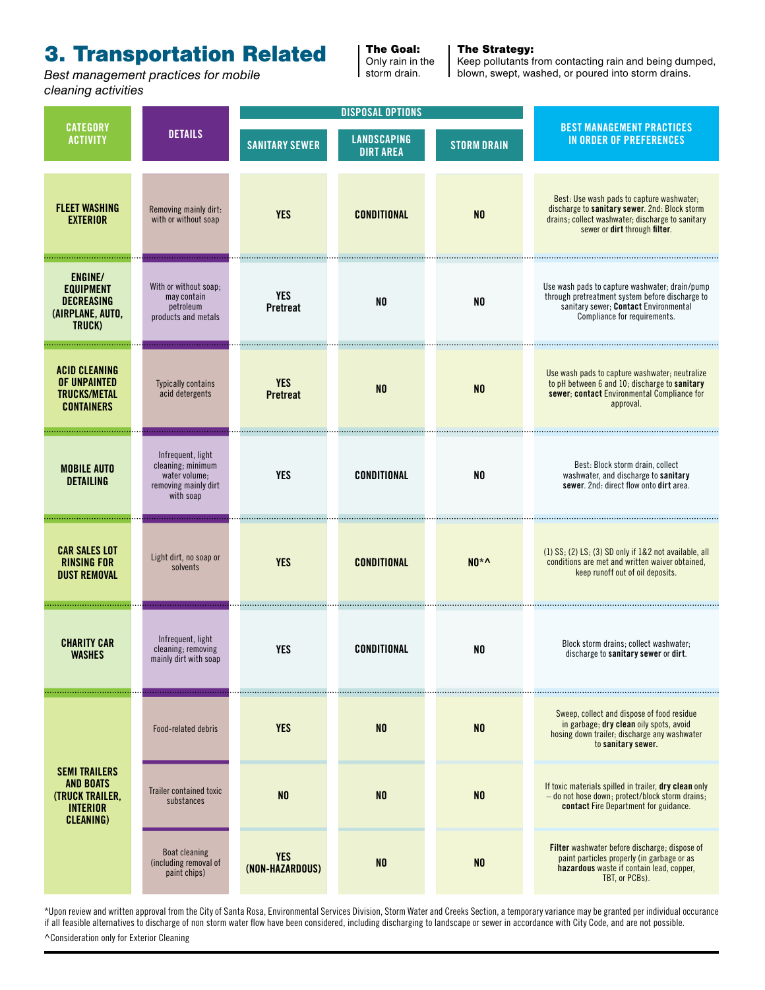### 3. Transportation Related

*Best management practices for mobile cleaning activities*

The Goal: Only rain in the storm drain.

#### The Strategy:

Keep pollutants from contacting rain and being dumped, blown, swept, washed, or poured into storm drains.

| <b>CATEGORY</b><br><b>ACTIVITY</b>                                                                        | <b>DETAILS</b>                                                                               | <b>DISPOSAL OPTIONS</b>       |                                        |                    |                                                                                                                                                                                 |
|-----------------------------------------------------------------------------------------------------------|----------------------------------------------------------------------------------------------|-------------------------------|----------------------------------------|--------------------|---------------------------------------------------------------------------------------------------------------------------------------------------------------------------------|
|                                                                                                           |                                                                                              | <b>SANITARY SEWER</b>         | <b>LANDSCAPING</b><br><b>DIRT AREA</b> | <b>STORM DRAIN</b> | <b>BEST MANAGEMENT PRACTICES</b><br><b>IN ORDER OF PREFERENCES</b>                                                                                                              |
| <b>FLEET WASHING</b><br><b>EXTERIOR</b>                                                                   | Removing mainly dirt:<br>with or without soap                                                | <b>YES</b>                    | <b>CONDITIONAL</b>                     | N <sub>0</sub>     | Best: Use wash pads to capture washwater;<br>discharge to sanitary sewer. 2nd: Block storm<br>drains; collect washwater; discharge to sanitary<br>sewer or dirt through filter. |
| <b>ENGINE/</b><br><b>EQUIPMENT</b><br><b>DECREASING</b><br>(AIRPLANE, AUTO,<br>TRUCK)                     | With or without soap;<br>may contain<br>petroleum<br>products and metals                     | <b>YES</b><br><b>Pretreat</b> | N <sub>0</sub>                         | N <sub>0</sub>     | Use wash pads to capture washwater; drain/pump<br>through pretreatment system before discharge to<br>sanitary sewer; Contact Environmental<br>Compliance for requirements.      |
| <b>ACID CLEANING</b><br>OF UNPAINTED<br><b>TRUCKS/METAL</b><br><b>CONTAINERS</b>                          | <b>Typically contains</b><br>acid detergents                                                 | <b>YES</b><br><b>Pretreat</b> | N <sub>0</sub>                         | N <sub>0</sub>     | Use wash pads to capture washwater; neutralize<br>to pH between 6 and 10; discharge to sanitary<br>sewer; contact Environmental Compliance for<br>approval.                     |
| <b>MOBILE AUTO</b><br><b>DETAILING</b>                                                                    | Infrequent, light<br>cleaning; minimum<br>water volume;<br>removing mainly dirt<br>with soap | <b>YES</b>                    | <b>CONDITIONAL</b>                     | N <sub>0</sub>     | Best: Block storm drain, collect<br>washwater, and discharge to sanitary<br>sewer. 2nd: direct flow onto dirt area.                                                             |
| <b>CAR SALES LOT</b><br><b>RINSING FOR</b><br><b>DUST REMOVAL</b>                                         | Light dirt, no soap or<br>solvents                                                           | <b>YES</b>                    | <b>CONDITIONAL</b>                     | $N0^*$             | $(1)$ SS; $(2)$ LS; $(3)$ SD only if $1&2$ not available, all<br>conditions are met and written waiver obtained,<br>keep runoff out of oil deposits.                            |
| <b>CHARITY CAR</b><br><b>WASHES</b>                                                                       | Infrequent, light<br>cleaning; removing<br>mainly dirt with soap                             | <b>YES</b>                    | CONDITIONAL                            | N <sub>0</sub>     | Block storm drains; collect washwater;<br>discharge to sanitary sewer or dirt.                                                                                                  |
| <b>SEMI TRAILERS</b><br><b>AND BOATS</b><br><b>(TRUCK TRAILER,</b><br><b>INTERIOR</b><br><b>CLEANING)</b> | Food-related debris                                                                          | <b>YES</b>                    | N <sub>0</sub>                         | N <sub>0</sub>     | Sweep, collect and dispose of food residue<br>in garbage; dry clean oily spots, avoid<br>hosing down trailer; discharge any washwater<br>to sanitary sewer.                     |
|                                                                                                           | Trailer contained toxic<br>substances                                                        | N <sub>0</sub>                | N <sub>0</sub>                         | N <sub>0</sub>     | If toxic materials spilled in trailer, dry clean only<br>- do not hose down; protect/block storm drains;<br>contact Fire Department for guidance.                               |
|                                                                                                           | <b>Boat cleaning</b><br>(including removal of<br>paint chips)                                | <b>YES</b><br>(NON-HAZARDOUS) | N <sub>0</sub>                         | N <sub>0</sub>     | <b>Filter</b> washwater before discharge; dispose of<br>paint particles properly (in garbage or as<br>hazardous waste if contain lead, copper,<br>TBT, or PCBs).                |

\*Upon review and written approval from the City of Santa Rosa, Environmental Services Division, Storm Water and Creeks Section, a temporary variance may be granted per individual occurance if all feasible alternatives to discharge of non storm water flow have been considered, including discharging to landscape or sewer in accordance with City Code, and are not possible.

^Consideration only for Exterior Cleaning